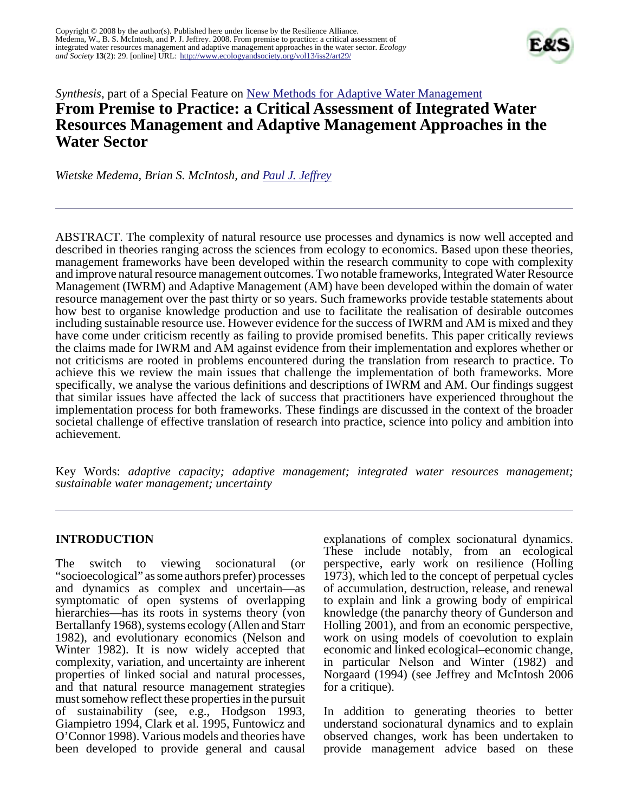

# *Synthesis*, part of a Special Feature on [New Methods for Adaptive Water Management](http://www.ecologyandsociety.org/viewissue.php?sf=31) **From Premise to Practice: a Critical Assessment of Integrated Water Resources Management and Adaptive Management Approaches in the Water Sector**

*Wietske Medema, Brian S. McIntosh, and [Paul J. Jeffrey](mailto:p.j.jeffrey@cranfield.ac.uk)*

ABSTRACT. The complexity of natural resource use processes and dynamics is now well accepted and described in theories ranging across the sciences from ecology to economics. Based upon these theories, management frameworks have been developed within the research community to cope with complexity and improve natural resource management outcomes. Two notable frameworks, Integrated Water Resource Management (IWRM) and Adaptive Management (AM) have been developed within the domain of water resource management over the past thirty or so years. Such frameworks provide testable statements about how best to organise knowledge production and use to facilitate the realisation of desirable outcomes including sustainable resource use. However evidence for the success of IWRM and AM is mixed and they have come under criticism recently as failing to provide promised benefits. This paper critically reviews the claims made for IWRM and AM against evidence from their implementation and explores whether or not criticisms are rooted in problems encountered during the translation from research to practice. To achieve this we review the main issues that challenge the implementation of both frameworks. More specifically, we analyse the various definitions and descriptions of IWRM and AM. Our findings suggest that similar issues have affected the lack of success that practitioners have experienced throughout the implementation process for both frameworks. These findings are discussed in the context of the broader societal challenge of effective translation of research into practice, science into policy and ambition into achievement.

Key Words: *adaptive capacity; adaptive management; integrated water resources management; sustainable water management; uncertainty*

# **INTRODUCTION**

The switch to viewing socionatural (or "socioecological" as some authors prefer) processes and dynamics as complex and uncertain—as symptomatic of open systems of overlapping hierarchies—has its roots in systems theory (von Bertallanfy 1968), systems ecology (Allen and Starr 1982), and evolutionary economics (Nelson and Winter 1982). It is now widely accepted that complexity, variation, and uncertainty are inherent properties of linked social and natural processes, and that natural resource management strategies must somehow reflect these properties in the pursuit of sustainability (see, e.g., Hodgson 1993, Giampietro 1994, Clark et al. 1995, Funtowicz and O'Connor 1998). Various models and theories have been developed to provide general and causal

explanations of complex socionatural dynamics. These include notably, from an ecological perspective, early work on resilience (Holling 1973), which led to the concept of perpetual cycles of accumulation, destruction, release, and renewal to explain and link a growing body of empirical knowledge (the panarchy theory of Gunderson and Holling 2001), and from an economic perspective, work on using models of coevolution to explain economic and linked ecological–economic change, in particular Nelson and Winter (1982) and Norgaard (1994) (see Jeffrey and McIntosh 2006 for a critique).

In addition to generating theories to better understand socionatural dynamics and to explain observed changes, work has been undertaken to provide management advice based on these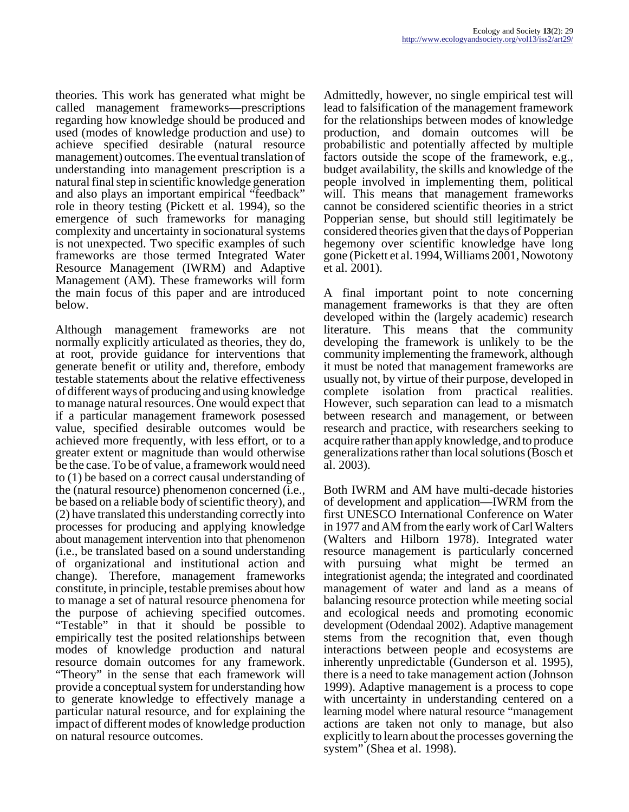theories. This work has generated what might be called management frameworks—prescriptions regarding how knowledge should be produced and used (modes of knowledge production and use) to achieve specified desirable (natural resource management) outcomes. The eventual translation of understanding into management prescription is a natural final step in scientific knowledge generation and also plays an important empirical "feedback" role in theory testing (Pickett et al. 1994), so the emergence of such frameworks for managing complexity and uncertainty in socionatural systems is not unexpected. Two specific examples of such frameworks are those termed Integrated Water Resource Management (IWRM) and Adaptive Management (AM). These frameworks will form the main focus of this paper and are introduced below.

Although management frameworks are not normally explicitly articulated as theories, they do, at root, provide guidance for interventions that generate benefit or utility and, therefore, embody testable statements about the relative effectiveness of different ways of producing and using knowledge to manage natural resources. One would expect that if a particular management framework posessed value, specified desirable outcomes would be achieved more frequently, with less effort, or to a greater extent or magnitude than would otherwise be the case. To be of value, a framework would need to (1) be based on a correct causal understanding of the (natural resource) phenomenon concerned (i.e., be based on a reliable body of scientific theory), and (2) have translated this understanding correctly into processes for producing and applying knowledge about management intervention into that phenomenon (i.e., be translated based on a sound understanding of organizational and institutional action and change). Therefore, management frameworks constitute, in principle, testable premises about how to manage a set of natural resource phenomena for the purpose of achieving specified outcomes. "Testable" in that it should be possible to empirically test the posited relationships between modes of knowledge production and natural resource domain outcomes for any framework. "Theory" in the sense that each framework will provide a conceptual system for understanding how to generate knowledge to effectively manage a particular natural resource, and for explaining the impact of different modes of knowledge production on natural resource outcomes.

Admittedly, however, no single empirical test will lead to falsification of the management framework for the relationships between modes of knowledge production, and domain outcomes will be probabilistic and potentially affected by multiple factors outside the scope of the framework, e.g., budget availability, the skills and knowledge of the people involved in implementing them, political will. This means that management frameworks cannot be considered scientific theories in a strict Popperian sense, but should still legitimately be considered theories given that the days of Popperian hegemony over scientific knowledge have long gone (Pickett et al. 1994, Williams 2001, Nowotony et al. 2001).

A final important point to note concerning management frameworks is that they are often developed within the (largely academic) research literature. This means that the community developing the framework is unlikely to be the community implementing the framework, although it must be noted that management frameworks are usually not, by virtue of their purpose, developed in complete isolation from practical realities. However, such separation can lead to a mismatch between research and management, or between research and practice, with researchers seeking to acquire rather than apply knowledge, and to produce generalizations rather than local solutions (Bosch et al. 2003).

Both IWRM and AM have multi-decade histories of development and application—IWRM from the first UNESCO International Conference on Water in 1977 and AM from the early work of Carl Walters (Walters and Hilborn 1978). Integrated water resource management is particularly concerned with pursuing what might be termed an integrationist agenda; the integrated and coordinated management of water and land as a means of balancing resource protection while meeting social and ecological needs and promoting economic development (Odendaal 2002). Adaptive management stems from the recognition that, even though interactions between people and ecosystems are inherently unpredictable (Gunderson et al. 1995), there is a need to take management action (Johnson 1999). Adaptive management is a process to cope with uncertainty in understanding centered on a learning model where natural resource "management actions are taken not only to manage, but also explicitly to learn about the processes governing the system" (Shea et al. 1998).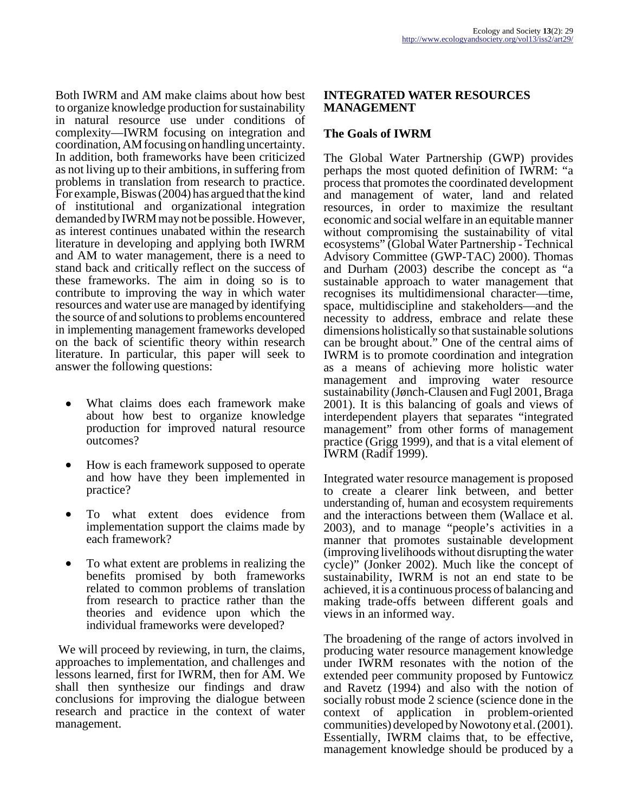Both IWRM and AM make claims about how best to organize knowledge production for sustainability in natural resource use under conditions of complexity—IWRM focusing on integration and coordination, AM focusing on handling uncertainty. In addition, both frameworks have been criticized as not living up to their ambitions, in suffering from problems in translation from research to practice. For example, Biswas (2004) has argued that the kind of institutional and organizational integration demanded by IWRM may not be possible. However, as interest continues unabated within the research literature in developing and applying both IWRM and AM to water management, there is a need to stand back and critically reflect on the success of these frameworks. The aim in doing so is to contribute to improving the way in which water resources and water use are managed by identifying the source of and solutions to problems encountered in implementing management frameworks developed on the back of scientific theory within research literature. In particular, this paper will seek to answer the following questions:

- What claims does each framework make about how best to organize knowledge production for improved natural resource outcomes?
- How is each framework supposed to operate and how have they been implemented in practice?
- To what extent does evidence from implementation support the claims made by each framework?
- To what extent are problems in realizing the benefits promised by both frameworks related to common problems of translation from research to practice rather than the theories and evidence upon which the individual frameworks were developed?

 We will proceed by reviewing, in turn, the claims, approaches to implementation, and challenges and lessons learned, first for IWRM, then for AM. We shall then synthesize our findings and draw conclusions for improving the dialogue between research and practice in the context of water management.

#### **INTEGRATED WATER RESOURCES MANAGEMENT**

## **The Goals of IWRM**

The Global Water Partnership (GWP) provides perhaps the most quoted definition of IWRM: "a process that promotes the coordinated development and management of water, land and related resources, in order to maximize the resultant economic and social welfare in an equitable manner without compromising the sustainability of vital ecosystems" (Global Water Partnership - Technical Advisory Committee (GWP-TAC) 2000). Thomas and Durham (2003) describe the concept as "a sustainable approach to water management that recognises its multidimensional character—time, space, multidiscipline and stakeholders—and the necessity to address, embrace and relate these dimensions holistically so that sustainable solutions can be brought about." One of the central aims of IWRM is to promote coordination and integration as a means of achieving more holistic water management and improving water resource sustainability (Jønch-Clausen and Fugl 2001, Braga 2001). It is this balancing of goals and views of interdependent players that separates "integrated management" from other forms of management practice (Grigg 1999), and that is a vital element of IWRM (Radif 1999).

Integrated water resource management is proposed to create a clearer link between, and better understanding of, human and ecosystem requirements and the interactions between them (Wallace et al. 2003), and to manage "people's activities in a manner that promotes sustainable development (improving livelihoods without disrupting the water cycle)" (Jonker 2002). Much like the concept of sustainability, IWRM is not an end state to be achieved, it is a continuous process of balancing and making trade-offs between different goals and views in an informed way.

The broadening of the range of actors involved in producing water resource management knowledge under IWRM resonates with the notion of the extended peer community proposed by Funtowicz and Ravetz (1994) and also with the notion of socially robust mode 2 science (science done in the context of application in problem-oriented communities) developed by Nowotony et al. (2001). Essentially, IWRM claims that, to be effective, management knowledge should be produced by a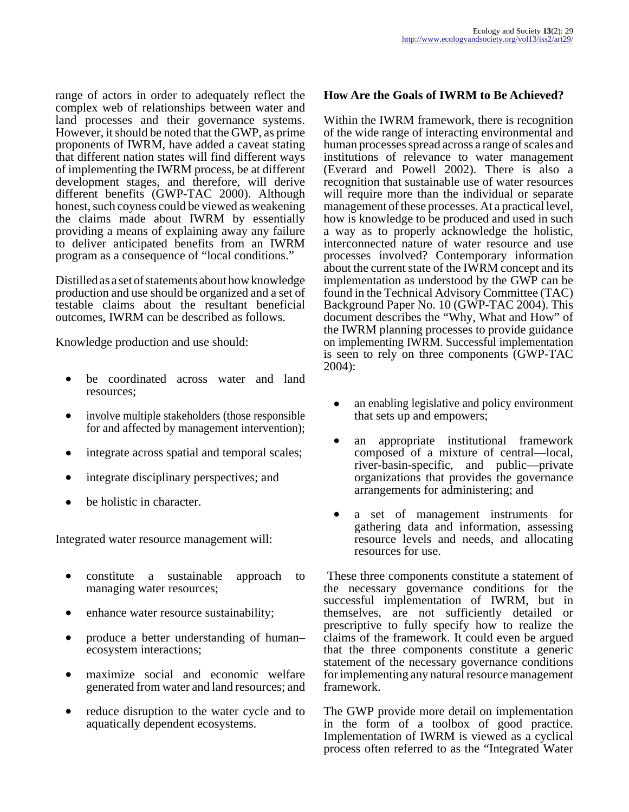range of actors in order to adequately reflect the complex web of relationships between water and land processes and their governance systems. However, it should be noted that the GWP, as prime proponents of IWRM, have added a caveat stating that different nation states will find different ways of implementing the IWRM process, be at different development stages, and therefore, will derive different benefits (GWP-TAC 2000). Although honest, such coyness could be viewed as weakening the claims made about IWRM by essentially providing a means of explaining away any failure to deliver anticipated benefits from an IWRM program as a consequence of "local conditions."

Distilled as a set of statements about how knowledge production and use should be organized and a set of testable claims about the resultant beneficial outcomes, IWRM can be described as follows.

Knowledge production and use should:

- be coordinated across water and land resources;
- involve multiple stakeholders (those responsible for and affected by management intervention);
- integrate across spatial and temporal scales;
- integrate disciplinary perspectives; and
- be holistic in character.

Integrated water resource management will:

- constitute a sustainable approach to managing water resources;
- enhance water resource sustainability;
- produce a better understanding of human– ecosystem interactions;
- maximize social and economic welfare generated from water and land resources; and
- reduce disruption to the water cycle and to aquatically dependent ecosystems.

## **How Are the Goals of IWRM to Be Achieved?**

Within the IWRM framework, there is recognition of the wide range of interacting environmental and human processes spread across a range of scales and institutions of relevance to water management (Everard and Powell 2002). There is also a recognition that sustainable use of water resources will require more than the individual or separate management of these processes. At a practical level, how is knowledge to be produced and used in such a way as to properly acknowledge the holistic, interconnected nature of water resource and use processes involved? Contemporary information about the current state of the IWRM concept and its implementation as understood by the GWP can be found in the Technical Advisory Committee (TAC) Background Paper No. 10 (GWP-TAC 2004). This document describes the "Why, What and How" of the IWRM planning processes to provide guidance on implementing IWRM. Successful implementation is seen to rely on three components (GWP-TAC 2004):

- an enabling legislative and policy environment that sets up and empowers;
- an appropriate institutional framework composed of a mixture of central—local, river-basin-specific, and public—private organizations that provides the governance arrangements for administering; and
- a set of management instruments for gathering data and information, assessing resource levels and needs, and allocating resources for use.

 These three components constitute a statement of the necessary governance conditions for the successful implementation of IWRM, but in themselves, are not sufficiently detailed or prescriptive to fully specify how to realize the claims of the framework. It could even be argued that the three components constitute a generic statement of the necessary governance conditions for implementing any natural resource management framework.

The GWP provide more detail on implementation in the form of a toolbox of good practice. Implementation of IWRM is viewed as a cyclical process often referred to as the "Integrated Water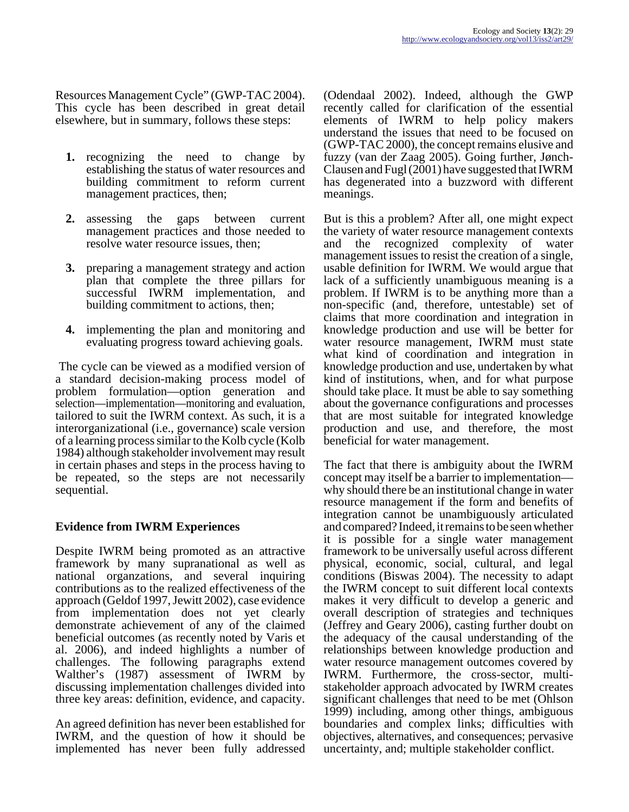Resources Management Cycle" (GWP-TAC 2004). This cycle has been described in great detail elsewhere, but in summary, follows these steps:

- **1.** recognizing the need to change by establishing the status of water resources and building commitment to reform current management practices, then;
- **2.** assessing the gaps between current management practices and those needed to resolve water resource issues, then;
- **3.** preparing a management strategy and action plan that complete the three pillars for successful IWRM implementation, and building commitment to actions, then;
- **4.** implementing the plan and monitoring and evaluating progress toward achieving goals.

 The cycle can be viewed as a modified version of a standard decision-making process model of problem formulation—option generation and selection—implementation—monitoring and evaluation, tailored to suit the IWRM context. As such, it is a interorganizational (i.e., governance) scale version of a learning process similar to the Kolb cycle (Kolb 1984) although stakeholder involvement may result in certain phases and steps in the process having to be repeated, so the steps are not necessarily sequential.

## **Evidence from IWRM Experiences**

Despite IWRM being promoted as an attractive framework by many supranational as well as national organzations, and several inquiring contributions as to the realized effectiveness of the approach (Geldof 1997, Jewitt 2002), case evidence from implementation does not yet clearly demonstrate achievement of any of the claimed beneficial outcomes (as recently noted by Varis et al. 2006), and indeed highlights a number of challenges. The following paragraphs extend Walther's (1987) assessment of IWRM by discussing implementation challenges divided into three key areas: definition, evidence, and capacity.

An agreed definition has never been established for IWRM, and the question of how it should be implemented has never been fully addressed (Odendaal 2002). Indeed, although the GWP recently called for clarification of the essential elements of IWRM to help policy makers understand the issues that need to be focused on (GWP-TAC 2000), the concept remains elusive and fuzzy (van der Zaag 2005). Going further, Jønch-Clausen and Fugl (2001) have suggested that IWRM has degenerated into a buzzword with different meanings.

But is this a problem? After all, one might expect the variety of water resource management contexts and the recognized complexity of water management issues to resist the creation of a single, usable definition for IWRM. We would argue that lack of a sufficiently unambiguous meaning is a problem. If IWRM is to be anything more than a non-specific (and, therefore, untestable) set of claims that more coordination and integration in knowledge production and use will be better for water resource management, IWRM must state what kind of coordination and integration in knowledge production and use, undertaken by what kind of institutions, when, and for what purpose should take place. It must be able to say something about the governance configurations and processes that are most suitable for integrated knowledge production and use, and therefore, the most beneficial for water management.

The fact that there is ambiguity about the IWRM concept may itself be a barrier to implementation why should there be an institutional change in water resource management if the form and benefits of integration cannot be unambiguously articulated and compared? Indeed, it remains to be seen whether it is possible for a single water management framework to be universally useful across different physical, economic, social, cultural, and legal conditions (Biswas 2004). The necessity to adapt the IWRM concept to suit different local contexts makes it very difficult to develop a generic and overall description of strategies and techniques (Jeffrey and Geary 2006), casting further doubt on the adequacy of the causal understanding of the relationships between knowledge production and water resource management outcomes covered by IWRM. Furthermore, the cross-sector, multistakeholder approach advocated by IWRM creates significant challenges that need to be met (Ohlson 1999) including, among other things, ambiguous boundaries and complex links; difficulties with objectives, alternatives, and consequences; pervasive uncertainty, and; multiple stakeholder conflict.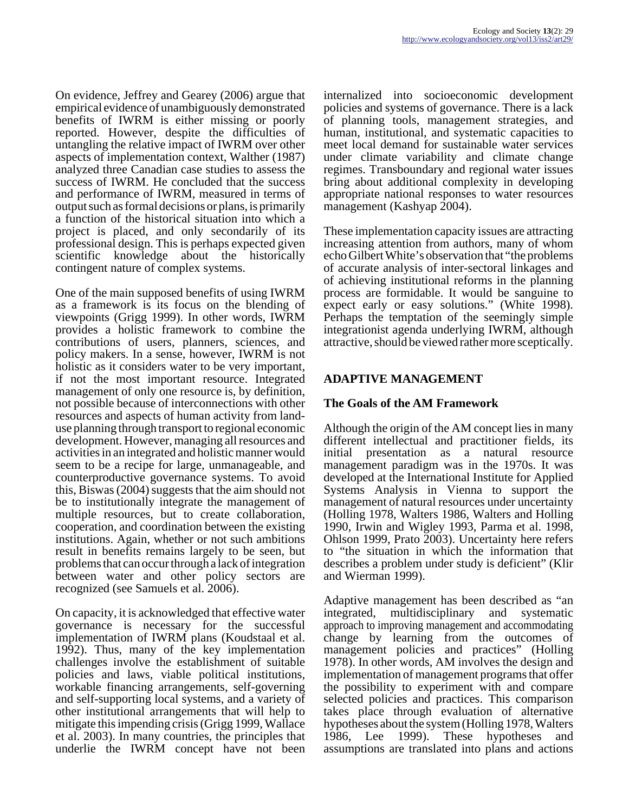On evidence, Jeffrey and Gearey (2006) argue that empirical evidence of unambiguously demonstrated benefits of IWRM is either missing or poorly reported. However, despite the difficulties of untangling the relative impact of IWRM over other aspects of implementation context, Walther (1987) analyzed three Canadian case studies to assess the success of IWRM. He concluded that the success and performance of IWRM, measured in terms of output such as formal decisions or plans, is primarily a function of the historical situation into which a project is placed, and only secondarily of its professional design. This is perhaps expected given scientific knowledge about the historically contingent nature of complex systems.

One of the main supposed benefits of using IWRM as a framework is its focus on the blending of viewpoints (Grigg 1999). In other words, IWRM provides a holistic framework to combine the contributions of users, planners, sciences, and policy makers. In a sense, however, IWRM is not holistic as it considers water to be very important, if not the most important resource. Integrated management of only one resource is, by definition, not possible because of interconnections with other resources and aspects of human activity from landuse planning through transport to regional economic development. However, managing all resources and activities in an integrated and holistic manner would seem to be a recipe for large, unmanageable, and counterproductive governance systems. To avoid this, Biswas (2004) suggests that the aim should not be to institutionally integrate the management of multiple resources, but to create collaboration, cooperation, and coordination between the existing institutions. Again, whether or not such ambitions result in benefits remains largely to be seen, but problems that can occur through a lack of integration between water and other policy sectors are recognized (see Samuels et al. 2006).

On capacity, it is acknowledged that effective water governance is necessary for the successful implementation of IWRM plans (Koudstaal et al. 1992). Thus, many of the key implementation challenges involve the establishment of suitable policies and laws, viable political institutions, workable financing arrangements, self-governing and self-supporting local systems, and a variety of other institutional arrangements that will help to mitigate this impending crisis (Grigg 1999, Wallace et al. 2003). In many countries, the principles that underlie the IWRM concept have not been

internalized into socioeconomic development policies and systems of governance. There is a lack of planning tools, management strategies, and human, institutional, and systematic capacities to meet local demand for sustainable water services under climate variability and climate change regimes. Transboundary and regional water issues bring about additional complexity in developing appropriate national responses to water resources management (Kashyap 2004).

These implementation capacity issues are attracting increasing attention from authors, many of whom echo Gilbert White's observation that "the problems of accurate analysis of inter-sectoral linkages and of achieving institutional reforms in the planning process are formidable. It would be sanguine to expect early or easy solutions." (White 1998). Perhaps the temptation of the seemingly simple integrationist agenda underlying IWRM, although attractive, should be viewed rather more sceptically.

## **ADAPTIVE MANAGEMENT**

## **The Goals of the AM Framework**

Although the origin of the AM concept lies in many different intellectual and practitioner fields, its initial presentation as a natural resource management paradigm was in the 1970s. It was developed at the International Institute for Applied Systems Analysis in Vienna to support the management of natural resources under uncertainty (Holling 1978, Walters 1986, Walters and Holling 1990, Irwin and Wigley 1993, Parma et al. 1998, Ohlson 1999, Prato 2003). Uncertainty here refers to "the situation in which the information that describes a problem under study is deficient" (Klir and Wierman 1999).

Adaptive management has been described as "an integrated, multidisciplinary and systematic approach to improving management and accommodating change by learning from the outcomes of management policies and practices" (Holling 1978). In other words, AM involves the design and implementation of management programs that offer the possibility to experiment with and compare selected policies and practices. This comparison takes place through evaluation of alternative hypotheses about the system (Holling 1978, Walters 1986, Lee 1999). These hypotheses and assumptions are translated into plans and actions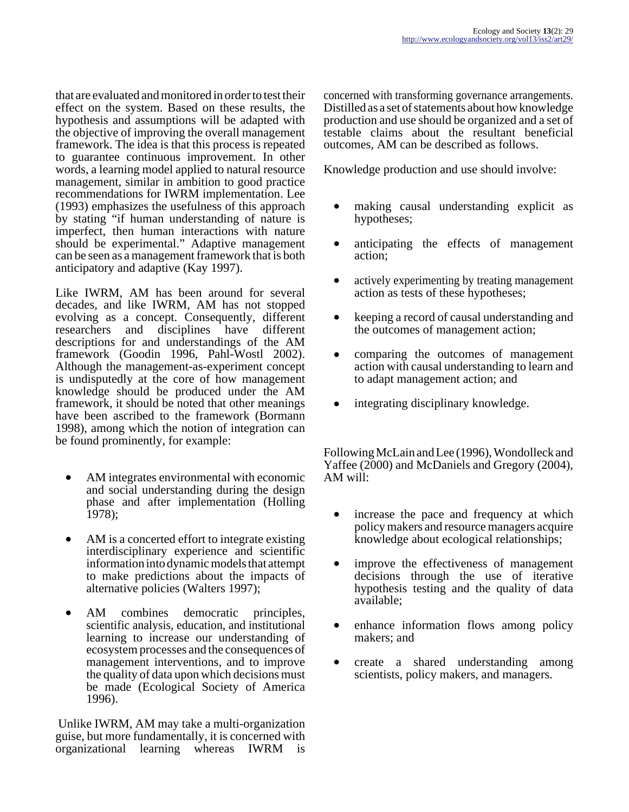that are evaluated and monitored in order to test their effect on the system. Based on these results, the hypothesis and assumptions will be adapted with the objective of improving the overall management framework. The idea is that this process is repeated to guarantee continuous improvement. In other words, a learning model applied to natural resource management, similar in ambition to good practice recommendations for IWRM implementation. Lee (1993) emphasizes the usefulness of this approach by stating "if human understanding of nature is imperfect, then human interactions with nature should be experimental." Adaptive management can be seen as a management framework that is both anticipatory and adaptive (Kay 1997).

Like IWRM, AM has been around for several decades, and like IWRM, AM has not stopped evolving as a concept. Consequently, different disciplines have different descriptions for and understandings of the AM framework (Goodin 1996, Pahl-Wostl 2002). Although the management-as-experiment concept is undisputedly at the core of how management knowledge should be produced under the AM framework, it should be noted that other meanings have been ascribed to the framework (Bormann 1998), among which the notion of integration can be found prominently, for example:

- AM integrates environmental with economic and social understanding during the design phase and after implementation (Holling 1978);
- AM is a concerted effort to integrate existing interdisciplinary experience and scientific information into dynamic models that attempt to make predictions about the impacts of alternative policies (Walters 1997);
- AM combines democratic principles, scientific analysis, education, and institutional learning to increase our understanding of ecosystem processes and the consequences of management interventions, and to improve the quality of data upon which decisions must be made (Ecological Society of America 1996).

 Unlike IWRM, AM may take a multi-organization guise, but more fundamentally, it is concerned with organizational learning whereas IWRM is

concerned with transforming governance arrangements. Distilled as a set of statements about how knowledge production and use should be organized and a set of testable claims about the resultant beneficial outcomes, AM can be described as follows.

Knowledge production and use should involve:

- making causal understanding explicit as hypotheses;
- anticipating the effects of management action;
- actively experimenting by treating management action as tests of these hypotheses;
- keeping a record of causal understanding and the outcomes of management action;
- comparing the outcomes of management action with causal understanding to learn and to adapt management action; and
- integrating disciplinary knowledge.

Following McLain and Lee (1996), Wondolleck and Yaffee (2000) and McDaniels and Gregory (2004), AM will:

- increase the pace and frequency at which policy makers and resource managers acquire knowledge about ecological relationships;
- improve the effectiveness of management decisions through the use of iterative hypothesis testing and the quality of data available;
- enhance information flows among policy makers; and
- create a shared understanding among scientists, policy makers, and managers.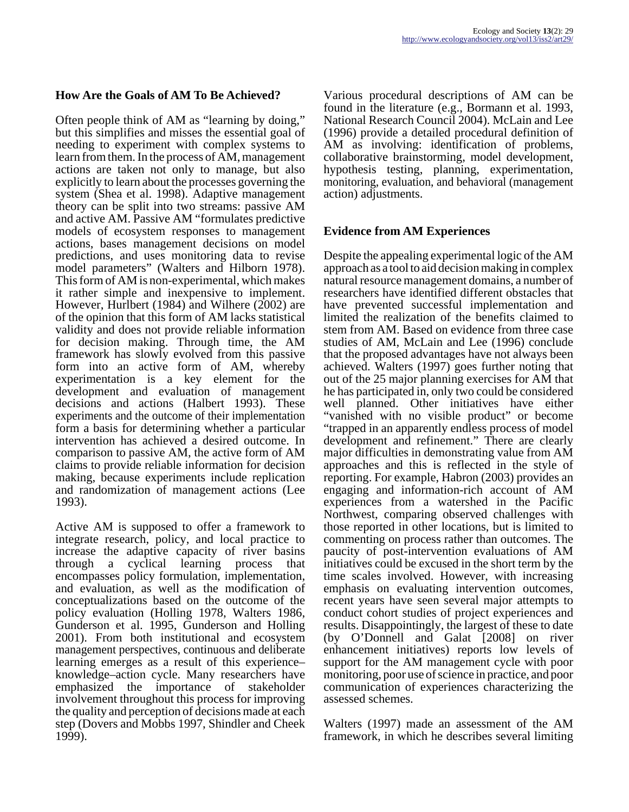#### **How Are the Goals of AM To Be Achieved?**

Often people think of AM as "learning by doing," but this simplifies and misses the essential goal of needing to experiment with complex systems to learn from them. In the process of AM, management actions are taken not only to manage, but also explicitly to learn about the processes governing the system (Shea et al. 1998). Adaptive management theory can be split into two streams: passive AM and active AM. Passive AM "formulates predictive models of ecosystem responses to management actions, bases management decisions on model predictions, and uses monitoring data to revise model parameters" (Walters and Hilborn 1978). This form of AM is non-experimental, which makes it rather simple and inexpensive to implement. However, Hurlbert (1984) and Wilhere (2002) are of the opinion that this form of AM lacks statistical validity and does not provide reliable information for decision making. Through time, the AM framework has slowly evolved from this passive form into an active form of AM, whereby experimentation is a key element for the development and evaluation of management decisions and actions (Halbert 1993). These experiments and the outcome of their implementation form a basis for determining whether a particular intervention has achieved a desired outcome. In comparison to passive AM, the active form of AM claims to provide reliable information for decision making, because experiments include replication and randomization of management actions (Lee 1993).

Active AM is supposed to offer a framework to integrate research, policy, and local practice to increase the adaptive capacity of river basins through a cyclical learning process that encompasses policy formulation, implementation, and evaluation, as well as the modification of conceptualizations based on the outcome of the policy evaluation (Holling 1978, Walters 1986, Gunderson et al. 1995, Gunderson and Holling 2001). From both institutional and ecosystem management perspectives, continuous and deliberate learning emerges as a result of this experience– knowledge–action cycle. Many researchers have emphasized the importance of stakeholder involvement throughout this process for improving the quality and perception of decisions made at each step (Dovers and Mobbs 1997, Shindler and Cheek 1999).

Various procedural descriptions of AM can be found in the literature (e.g., Bormann et al. 1993, National Research Council 2004). McLain and Lee (1996) provide a detailed procedural definition of AM as involving: identification of problems, collaborative brainstorming, model development, hypothesis testing, planning, experimentation, monitoring, evaluation, and behavioral (management action) adjustments.

#### **Evidence from AM Experiences**

Despite the appealing experimental logic of the AM approach as a tool to aid decision making in complex natural resource management domains, a number of researchers have identified different obstacles that have prevented successful implementation and limited the realization of the benefits claimed to stem from AM. Based on evidence from three case studies of AM, McLain and Lee (1996) conclude that the proposed advantages have not always been achieved. Walters (1997) goes further noting that out of the 25 major planning exercises for AM that he has participated in, only two could be considered well planned. Other initiatives have either "vanished with no visible product" or become "trapped in an apparently endless process of model development and refinement." There are clearly major difficulties in demonstrating value from AM approaches and this is reflected in the style of reporting. For example, Habron (2003) provides an engaging and information-rich account of AM experiences from a watershed in the Pacific Northwest, comparing observed challenges with those reported in other locations, but is limited to commenting on process rather than outcomes. The paucity of post-intervention evaluations of AM initiatives could be excused in the short term by the time scales involved. However, with increasing emphasis on evaluating intervention outcomes, recent years have seen several major attempts to conduct cohort studies of project experiences and results. Disappointingly, the largest of these to date (by O'Donnell and Galat [2008] on river enhancement initiatives) reports low levels of support for the AM management cycle with poor monitoring, poor use of science in practice, and poor communication of experiences characterizing the assessed schemes.

Walters (1997) made an assessment of the AM framework, in which he describes several limiting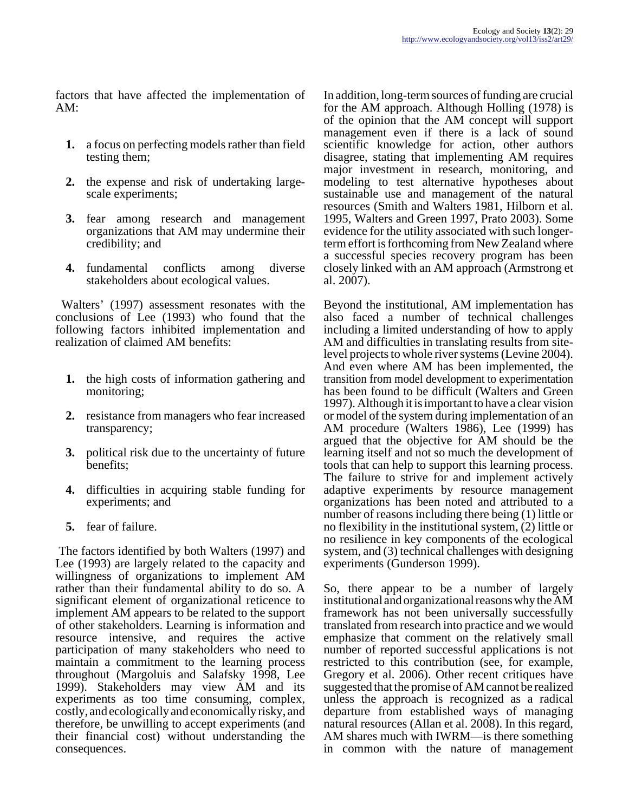factors that have affected the implementation of AM:

- **1.** a focus on perfecting models rather than field testing them;
- **2.** the expense and risk of undertaking largescale experiments;
- **3.** fear among research and management organizations that AM may undermine their credibility; and
- **4.** fundamental conflicts among diverse stakeholders about ecological values.

 Walters' (1997) assessment resonates with the conclusions of Lee (1993) who found that the following factors inhibited implementation and realization of claimed AM benefits:

- **1.** the high costs of information gathering and monitoring;
- **2.** resistance from managers who fear increased transparency;
- **3.** political risk due to the uncertainty of future benefits;
- **4.** difficulties in acquiring stable funding for experiments; and
- **5.** fear of failure.

 The factors identified by both Walters (1997) and Lee (1993) are largely related to the capacity and willingness of organizations to implement AM rather than their fundamental ability to do so. A significant element of organizational reticence to implement AM appears to be related to the support of other stakeholders. Learning is information and resource intensive, and requires the active participation of many stakeholders who need to maintain a commitment to the learning process throughout (Margoluis and Salafsky 1998, Lee 1999). Stakeholders may view AM and its experiments as too time consuming, complex, costly, and ecologically and economically risky, and therefore, be unwilling to accept experiments (and their financial cost) without understanding the consequences.

In addition, long-term sources of funding are crucial for the AM approach. Although Holling (1978) is of the opinion that the AM concept will support management even if there is a lack of sound scientific knowledge for action, other authors disagree, stating that implementing AM requires major investment in research, monitoring, and modeling to test alternative hypotheses about sustainable use and management of the natural resources (Smith and Walters 1981, Hilborn et al. 1995, Walters and Green 1997, Prato 2003). Some evidence for the utility associated with such longerterm effort is forthcoming from New Zealand where a successful species recovery program has been closely linked with an AM approach (Armstrong et al. 2007).

Beyond the institutional, AM implementation has also faced a number of technical challenges including a limited understanding of how to apply AM and difficulties in translating results from sitelevel projects to whole river systems (Levine 2004). And even where AM has been implemented, the transition from model development to experimentation has been found to be difficult (Walters and Green 1997). Although it is important to have a clear vision or model of the system during implementation of an AM procedure (Walters 1986), Lee (1999) has argued that the objective for AM should be the learning itself and not so much the development of tools that can help to support this learning process. The failure to strive for and implement actively adaptive experiments by resource management organizations has been noted and attributed to a number of reasons including there being (1) little or no flexibility in the institutional system, (2) little or no resilience in key components of the ecological system, and (3) technical challenges with designing experiments (Gunderson 1999).

So, there appear to be a number of largely institutional and organizational reasons why the AM framework has not been universally successfully translated from research into practice and we would emphasize that comment on the relatively small number of reported successful applications is not restricted to this contribution (see, for example, Gregory et al. 2006). Other recent critiques have suggested that the promise of AM cannot be realized unless the approach is recognized as a radical departure from established ways of managing natural resources (Allan et al. 2008). In this regard, AM shares much with IWRM—is there something in common with the nature of management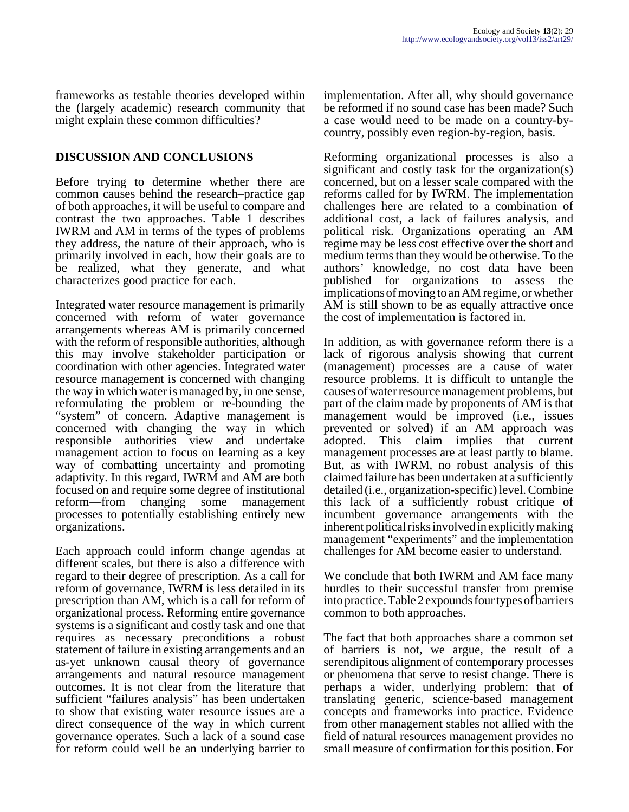frameworks as testable theories developed within the (largely academic) research community that might explain these common difficulties?

#### **DISCUSSION AND CONCLUSIONS**

Before trying to determine whether there are common causes behind the research–practice gap of both approaches, it will be useful to compare and contrast the two approaches. Table 1 describes IWRM and AM in terms of the types of problems they address, the nature of their approach, who is primarily involved in each, how their goals are to be realized, what they generate, and what characterizes good practice for each.

Integrated water resource management is primarily concerned with reform of water governance arrangements whereas AM is primarily concerned with the reform of responsible authorities, although this may involve stakeholder participation or coordination with other agencies. Integrated water resource management is concerned with changing the way in which water is managed by, in one sense, reformulating the problem or re-bounding the "system" of concern. Adaptive management is concerned with changing the way in which responsible authorities view and undertake management action to focus on learning as a key way of combatting uncertainty and promoting adaptivity. In this regard, IWRM and AM are both focused on and require some degree of institutional reform—from changing some management processes to potentially establishing entirely new organizations.

Each approach could inform change agendas at different scales, but there is also a difference with regard to their degree of prescription. As a call for reform of governance, IWRM is less detailed in its prescription than AM, which is a call for reform of organizational process. Reforming entire governance systems is a significant and costly task and one that requires as necessary preconditions a robust statement of failure in existing arrangements and an as-yet unknown causal theory of governance arrangements and natural resource management outcomes. It is not clear from the literature that sufficient "failures analysis" has been undertaken to show that existing water resource issues are a direct consequence of the way in which current governance operates. Such a lack of a sound case for reform could well be an underlying barrier to

implementation. After all, why should governance be reformed if no sound case has been made? Such a case would need to be made on a country-bycountry, possibly even region-by-region, basis.

Reforming organizational processes is also a significant and costly task for the organization(s) concerned, but on a lesser scale compared with the reforms called for by IWRM. The implementation challenges here are related to a combination of additional cost, a lack of failures analysis, and political risk. Organizations operating an AM regime may be less cost effective over the short and medium terms than they would be otherwise. To the authors' knowledge, no cost data have been published for organizations to assess the implications of moving to an AM regime, or whether AM is still shown to be as equally attractive once the cost of implementation is factored in.

In addition, as with governance reform there is a lack of rigorous analysis showing that current (management) processes are a cause of water resource problems. It is difficult to untangle the causes of water resource management problems, but part of the claim made by proponents of AM is that management would be improved (i.e., issues prevented or solved) if an AM approach was adopted. This claim implies that current management processes are at least partly to blame. But, as with IWRM, no robust analysis of this claimed failure has been undertaken at a sufficiently detailed (i.e., organization-specific) level. Combine this lack of a sufficiently robust critique of incumbent governance arrangements with the inherent political risks involved in explicitly making management "experiments" and the implementation challenges for AM become easier to understand.

We conclude that both IWRM and AM face many hurdles to their successful transfer from premise into practice. Table 2 expounds four types of barriers common to both approaches.

The fact that both approaches share a common set of barriers is not, we argue, the result of a serendipitous alignment of contemporary processes or phenomena that serve to resist change. There is perhaps a wider, underlying problem: that of translating generic, science-based management concepts and frameworks into practice. Evidence from other management stables not allied with the field of natural resources management provides no small measure of confirmation for this position. For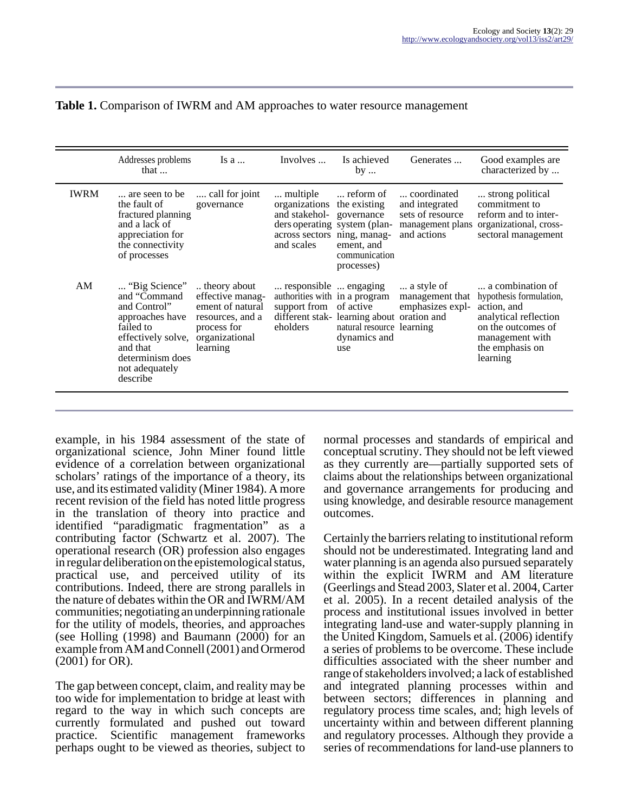|  |  |  |  | Table 1. Comparison of IWRM and AM approaches to water resource management |
|--|--|--|--|----------------------------------------------------------------------------|
|  |  |  |  |                                                                            |

|             | Addresses problems<br>that $\dots$                                                                                                                                 | Is $a \dots$                                                                                                          | Involves                                                                                                   | Is achieved<br>by $\ldots$                                                                                  | Generates                                                                            | Good examples are<br>characterized by                                                                                                                       |
|-------------|--------------------------------------------------------------------------------------------------------------------------------------------------------------------|-----------------------------------------------------------------------------------------------------------------------|------------------------------------------------------------------------------------------------------------|-------------------------------------------------------------------------------------------------------------|--------------------------------------------------------------------------------------|-------------------------------------------------------------------------------------------------------------------------------------------------------------|
| <b>IWRM</b> | are seen to be<br>the fault of<br>fractured planning<br>and a lack of<br>appreciation for<br>the connectivity<br>of processes                                      | call for joint<br>governance                                                                                          | multiple<br>organizations<br>and stakehol-<br>ders operating system (plan-<br>across sectors<br>and scales | reform of<br>the existing<br>governance<br>ning, manag-<br>ement, and<br>communication<br>processes)        | coordinated<br>and integrated<br>sets of resource<br>management plans<br>and actions | strong political<br>commitment to<br>reform and to inter-<br>organizational, cross-<br>sectoral management                                                  |
| AM          | "Big Science"<br>and "Command"<br>and Control"<br>approaches have<br>failed to<br>effectively solve,<br>and that<br>determinism does<br>not adequately<br>describe | theory about<br>effective manag-<br>ement of natural<br>resources, and a<br>process for<br>organizational<br>learning | responsible  engaging<br>authorities with in a program<br>support from<br>eholders                         | of active<br>different stak- learning about oration and<br>natural resource learning<br>dynamics and<br>use | a style of<br>management that<br>emphasizes expl-                                    | a combination of<br>hypothesis formulation,<br>action, and<br>analytical reflection<br>on the outcomes of<br>management with<br>the emphasis on<br>learning |

example, in his 1984 assessment of the state of organizational science, John Miner found little evidence of a correlation between organizational scholars' ratings of the importance of a theory, its use, and its estimated validity (Miner 1984). A more recent revision of the field has noted little progress in the translation of theory into practice and identified "paradigmatic fragmentation" as a contributing factor (Schwartz et al. 2007). The operational research (OR) profession also engages in regular deliberation on the epistemological status, practical use, and perceived utility of its contributions. Indeed, there are strong parallels in the nature of debates within the OR and IWRM/AM communities; negotiating an underpinning rationale for the utility of models, theories, and approaches (see Holling (1998) and Baumann (2000) for an example from AM and Connell (2001) and Ormerod (2001) for OR).

The gap between concept, claim, and reality may be too wide for implementation to bridge at least with regard to the way in which such concepts are currently formulated and pushed out toward practice. Scientific management frameworks perhaps ought to be viewed as theories, subject to

normal processes and standards of empirical and conceptual scrutiny. They should not be left viewed as they currently are—partially supported sets of claims about the relationships between organizational and governance arrangements for producing and using knowledge, and desirable resource management outcomes.

Certainly the barriers relating to institutional reform should not be underestimated. Integrating land and water planning is an agenda also pursued separately within the explicit IWRM and AM literature (Geerlings and Stead 2003, Slater et al. 2004, Carter et al. 2005). In a recent detailed analysis of the process and institutional issues involved in better integrating land-use and water-supply planning in the United Kingdom, Samuels et al. (2006) identify a series of problems to be overcome. These include difficulties associated with the sheer number and range of stakeholders involved; a lack of established and integrated planning processes within and between sectors; differences in planning and regulatory process time scales, and; high levels of uncertainty within and between different planning and regulatory processes. Although they provide a series of recommendations for land-use planners to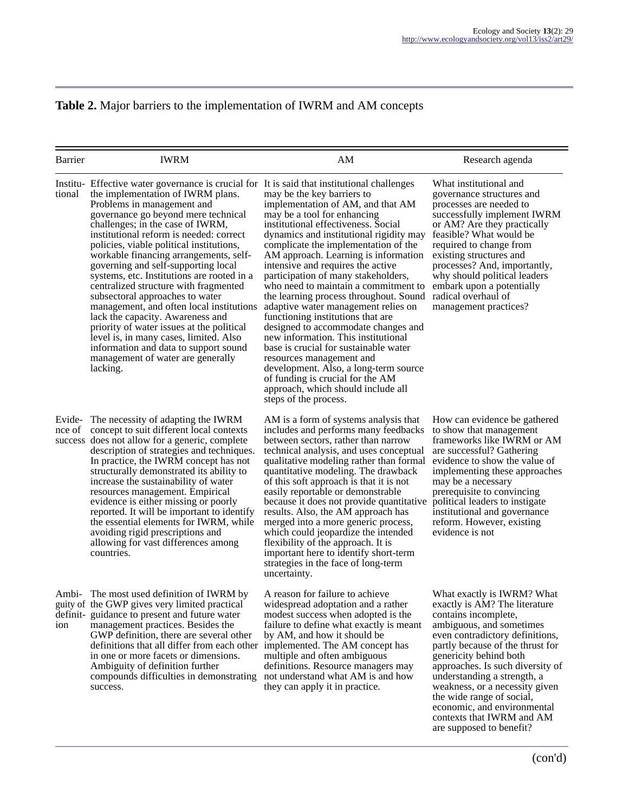# **Table 2.** Major barriers to the implementation of IWRM and AM concepts

| <b>Barrier</b> | <b>IWRM</b>                                                                                                                                                                                                                                                                                                                                                                                                                                                                                                                                                                                                                                                                                                                                                                                                  | AM                                                                                                                                                                                                                                                                                                                                                                                                                                                                                                                                                                                                                                                                                                                                                                                                        | Research agenda                                                                                                                                                                                                                                                                                                                                                                                                |
|----------------|--------------------------------------------------------------------------------------------------------------------------------------------------------------------------------------------------------------------------------------------------------------------------------------------------------------------------------------------------------------------------------------------------------------------------------------------------------------------------------------------------------------------------------------------------------------------------------------------------------------------------------------------------------------------------------------------------------------------------------------------------------------------------------------------------------------|-----------------------------------------------------------------------------------------------------------------------------------------------------------------------------------------------------------------------------------------------------------------------------------------------------------------------------------------------------------------------------------------------------------------------------------------------------------------------------------------------------------------------------------------------------------------------------------------------------------------------------------------------------------------------------------------------------------------------------------------------------------------------------------------------------------|----------------------------------------------------------------------------------------------------------------------------------------------------------------------------------------------------------------------------------------------------------------------------------------------------------------------------------------------------------------------------------------------------------------|
| tional         | Institu- Effective water governance is crucial for It is said that institutional challenges<br>the implementation of IWRM plans.<br>Problems in management and<br>governance go beyond mere technical<br>challenges; in the case of IWRM,<br>institutional reform is needed: correct<br>policies, viable political institutions,<br>workable financing arrangements, self-<br>governing and self-supporting local<br>systems, etc. Institutions are rooted in a<br>centralized structure with fragmented<br>subsectoral approaches to water<br>management, and often local institutions<br>lack the capacity. Awareness and<br>priority of water issues at the political<br>level is, in many cases, limited. Also<br>information and data to support sound<br>management of water are generally<br>lacking. | may be the key barriers to<br>implementation of AM, and that AM<br>may be a tool for enhancing<br>institutional effectiveness. Social<br>dynamics and institutional rigidity may<br>complicate the implementation of the<br>AM approach. Learning is information<br>intensive and requires the active<br>participation of many stakeholders,<br>who need to maintain a commitment to<br>the learning process throughout. Sound<br>adaptive water management relies on<br>functioning institutions that are<br>designed to accommodate changes and<br>new information. This institutional<br>base is crucial for sustainable water<br>resources management and<br>development. Also, a long-term source<br>of funding is crucial for the AM<br>approach, which should include all<br>steps of the process. | What institutional and<br>governance structures and<br>processes are needed to<br>successfully implement IWRM<br>or AM? Are they practically<br>feasible? What would be<br>required to change from<br>existing structures and<br>processes? And, importantly,<br>why should political leaders<br>embark upon a potentially<br>radical overhaul of<br>management practices?                                     |
| nce of         | Evide- The necessity of adapting the IWRM<br>concept to suit different local contexts<br>success does not allow for a generic, complete<br>description of strategies and techniques.<br>In practice, the IWRM concept has not<br>structurally demonstrated its ability to<br>increase the sustainability of water<br>resources management. Empirical<br>evidence is either missing or poorly<br>reported. It will be important to identify<br>the essential elements for IWRM, while<br>avoiding rigid prescriptions and<br>allowing for vast differences among<br>countries.                                                                                                                                                                                                                                | AM is a form of systems analysis that<br>includes and performs many feedbacks<br>between sectors, rather than narrow<br>technical analysis, and uses conceptual<br>qualitative modeling rather than formal<br>quantitative modeling. The drawback<br>of this soft approach is that it is not<br>easily reportable or demonstrable<br>because it does not provide quantitative<br>results. Also, the AM approach has<br>merged into a more generic process,<br>which could jeopardize the intended<br>flexibility of the approach. It is<br>important here to identify short-term<br>strategies in the face of long-term<br>uncertainty.                                                                                                                                                                   | How can evidence be gathered<br>to show that management<br>frameworks like IWRM or AM<br>are successful? Gathering<br>evidence to show the value of<br>implementing these approaches<br>may be a necessary<br>prerequisite to convincing<br>political leaders to instigate<br>institutional and governance<br>reform. However, existing<br>evidence is not                                                     |
| ion            | Ambi- The most used definition of IWRM by<br>guity of the GWP gives very limited practical<br>definit-guidance to present and future water<br>management practices. Besides the<br>GWP definition, there are several other<br>definitions that all differ from each other<br>in one or more facets or dimensions.<br>Ambiguity of definition further<br>compounds difficulties in demonstrating<br>success.                                                                                                                                                                                                                                                                                                                                                                                                  | A reason for failure to achieve<br>widespread adoptation and a rather<br>modest success when adopted is the<br>failure to define what exactly is meant<br>by AM, and how it should be<br>implemented. The AM concept has<br>multiple and often ambiguous<br>definitions. Resource managers may<br>not understand what AM is and how<br>they can apply it in practice.                                                                                                                                                                                                                                                                                                                                                                                                                                     | What exactly is IWRM? What<br>exactly is AM? The literature<br>contains incomplete,<br>ambiguous, and sometimes<br>even contradictory definitions,<br>partly because of the thrust for<br>genericity behind both<br>approaches. Is such diversity of<br>understanding a strength, a<br>weakness, or a necessity given<br>the wide range of social,<br>economic, and environmental<br>contexts that IWRM and AM |

are supposed to benefit?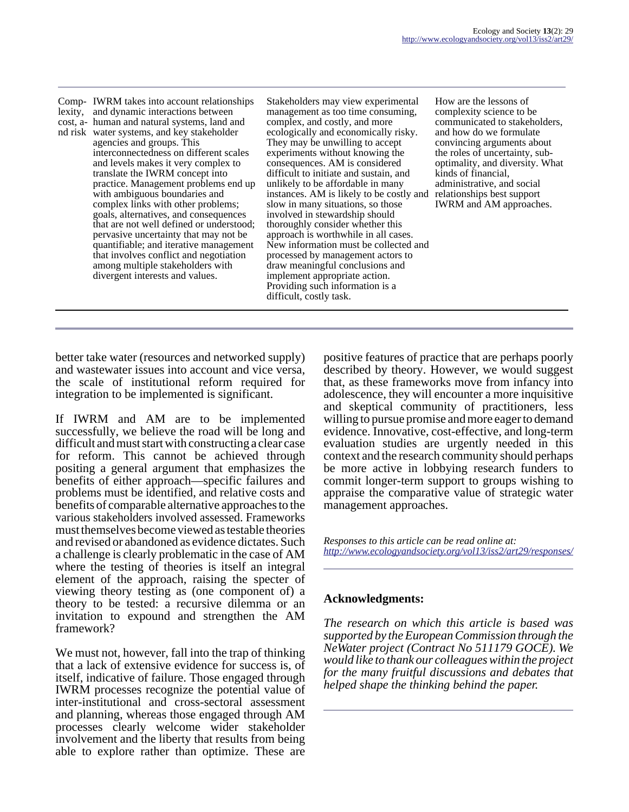|  | Comp-IWRM takes into account relationships<br>lexity, and dynamic interactions between<br>cost, a- human and natural systems, land and<br>nd risk water systems, and key stakeholder<br>agencies and groups. This<br>interconnectedness on different scales<br>and levels makes it very complex to<br>translate the IWRM concept into<br>practice. Management problems end up<br>with ambiguous boundaries and<br>complex links with other problems;<br>goals, alternatives, and consequences<br>that are not well defined or understood;<br>pervasive uncertainty that may not be<br>quantifiable; and iterative management<br>that involves conflict and negotiation<br>among multiple stakeholders with<br>divergent interests and values. | Stakeholders may view experimental<br>management as too time consuming,<br>complex, and costly, and more<br>ecologically and economically risky.<br>They may be unwilling to accept<br>experiments without knowing the<br>consequences. AM is considered<br>difficult to initiate and sustain, and<br>unlikely to be affordable in many<br>instances. AM is likely to be costly and<br>slow in many situations, so those<br>involved in stewardship should<br>thoroughly consider whether this<br>approach is worthwhile in all cases.<br>New information must be collected and<br>processed by management actors to<br>draw meaningful conclusions and<br>implement appropriate action.<br>Providing such information is a<br>difficult, costly task. | How are the lessons of<br>complexity science to be<br>communicated to stakeholders,<br>and how do we formulate<br>convincing arguments about<br>the roles of uncertainty, sub-<br>optimality, and diversity. What<br>kinds of financial,<br>administrative, and social<br>relationships best support<br>IWRM and AM approaches. |
|--|-----------------------------------------------------------------------------------------------------------------------------------------------------------------------------------------------------------------------------------------------------------------------------------------------------------------------------------------------------------------------------------------------------------------------------------------------------------------------------------------------------------------------------------------------------------------------------------------------------------------------------------------------------------------------------------------------------------------------------------------------|--------------------------------------------------------------------------------------------------------------------------------------------------------------------------------------------------------------------------------------------------------------------------------------------------------------------------------------------------------------------------------------------------------------------------------------------------------------------------------------------------------------------------------------------------------------------------------------------------------------------------------------------------------------------------------------------------------------------------------------------------------|---------------------------------------------------------------------------------------------------------------------------------------------------------------------------------------------------------------------------------------------------------------------------------------------------------------------------------|
|--|-----------------------------------------------------------------------------------------------------------------------------------------------------------------------------------------------------------------------------------------------------------------------------------------------------------------------------------------------------------------------------------------------------------------------------------------------------------------------------------------------------------------------------------------------------------------------------------------------------------------------------------------------------------------------------------------------------------------------------------------------|--------------------------------------------------------------------------------------------------------------------------------------------------------------------------------------------------------------------------------------------------------------------------------------------------------------------------------------------------------------------------------------------------------------------------------------------------------------------------------------------------------------------------------------------------------------------------------------------------------------------------------------------------------------------------------------------------------------------------------------------------------|---------------------------------------------------------------------------------------------------------------------------------------------------------------------------------------------------------------------------------------------------------------------------------------------------------------------------------|

better take water (resources and networked supply) and wastewater issues into account and vice versa, the scale of institutional reform required for integration to be implemented is significant.

If IWRM and AM are to be implemented successfully, we believe the road will be long and difficult and must start with constructing a clear case for reform. This cannot be achieved through positing a general argument that emphasizes the benefits of either approach—specific failures and problems must be identified, and relative costs and benefits of comparable alternative approaches to the various stakeholders involved assessed. Frameworks must themselves become viewed as testable theories and revised or abandoned as evidence dictates. Such a challenge is clearly problematic in the case of AM where the testing of theories is itself an integral element of the approach, raising the specter of viewing theory testing as (one component of) a theory to be tested: a recursive dilemma or an invitation to expound and strengthen the AM framework?

We must not, however, fall into the trap of thinking that a lack of extensive evidence for success is, of itself, indicative of failure. Those engaged through IWRM processes recognize the potential value of inter-institutional and cross-sectoral assessment and planning, whereas those engaged through AM processes clearly welcome wider stakeholder involvement and the liberty that results from being able to explore rather than optimize. These are

positive features of practice that are perhaps poorly described by theory. However, we would suggest that, as these frameworks move from infancy into adolescence, they will encounter a more inquisitive and skeptical community of practitioners, less willing to pursue promise and more eager to demand evidence. Innovative, cost-effective, and long-term evaluation studies are urgently needed in this context and the research community should perhaps be more active in lobbying research funders to commit longer-term support to groups wishing to appraise the comparative value of strategic water management approaches.

*Responses to this article can be read online at: <http://www.ecologyandsociety.org/vol13/iss2/art29/responses/>*

## **Acknowledgments:**

*The research on which this article is based was supported by the European Commission through the NeWater project (Contract No 511179 GOCE). We would like to thank our colleagues within the project for the many fruitful discussions and debates that helped shape the thinking behind the paper.*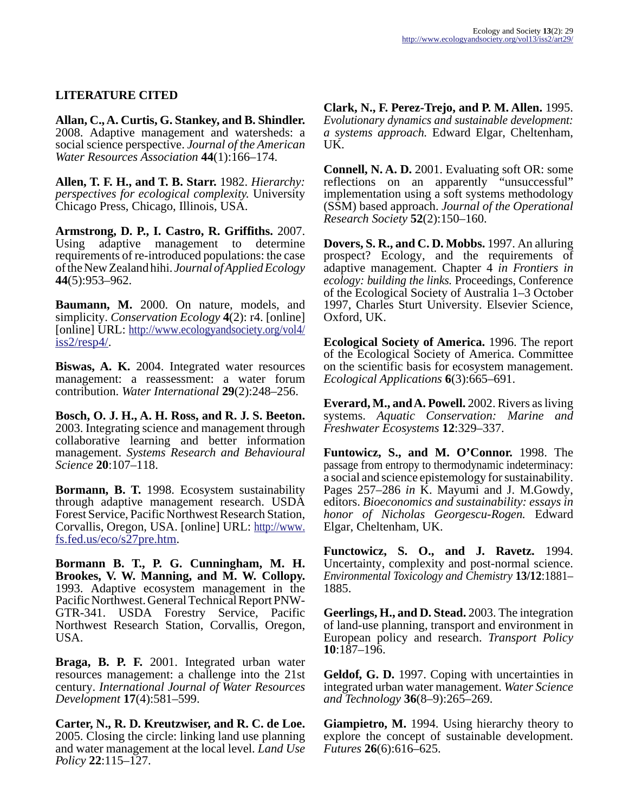## **LITERATURE CITED**

**Allan, C., A. Curtis, G. Stankey, and B. Shindler.** 2008. Adaptive management and watersheds: a social science perspective. *Journal of the American Water Resources Association* **44**(1):166–174.

**Allen, T. F. H., and T. B. Starr.** 1982. *Hierarchy: perspectives for ecological complexity.* University Chicago Press, Chicago, Illinois, USA.

**Armstrong, D. P., I. Castro, R. Griffiths.** 2007. Using adaptive management to determine requirements of re-introduced populations: the case of the New Zealand hihi. *Journal of Applied Ecology* **44**(5):953–962.

**Baumann, M.** 2000. On nature, models, and simplicity. *Conservation Ecology* **4**(2): r4. [online] [online] URL: [http://www.ecologyandsociety.org/vol4/](http://www.ecologyandsociety.org/vol4/iss2/resp4/) [iss2/resp4/](http://www.ecologyandsociety.org/vol4/iss2/resp4/).

**Biswas, A. K.** 2004. Integrated water resources management: a reassessment: a water forum contribution. *Water International* **29**(2):248–256.

**Bosch, O. J. H., A. H. Ross, and R. J. S. Beeton.** 2003. Integrating science and management through collaborative learning and better information management. *Systems Research and Behavioural Science* **20**:107–118.

**Bormann, B. T.** 1998. Ecosystem sustainability through adaptive management research. USDA Forest Service, Pacific Northwest Research Station, Corvallis, Oregon, USA. [online] URL: [http://www.](http://www.fs.fed.us/eco/s27pre.htm) [fs.fed.us/eco/s27pre.htm.](http://www.fs.fed.us/eco/s27pre.htm)

**Bormann B. T., P. G. Cunningham, M. H. Brookes, V. W. Manning, and M. W. Collopy.** 1993. Adaptive ecosystem management in the Pacific Northwest. General Technical Report PNW-GTR-341. USDA Forestry Service, Pacific Northwest Research Station, Corvallis, Oregon, USA.

**Braga, B. P. F.** 2001. Integrated urban water resources management: a challenge into the 21st century. *International Journal of Water Resources Development* **17**(4):581–599.

**Carter, N., R. D. Kreutzwiser, and R. C. de Loe.** 2005. Closing the circle: linking land use planning and water management at the local level. *Land Use Policy* **22**:115–127.

**Clark, N., F. Perez-Trejo, and P. M. Allen.** 1995. *Evolutionary dynamics and sustainable development: a systems approach.* Edward Elgar, Cheltenham, UK.

**Connell, N. A. D.** 2001. Evaluating soft OR: some reflections on an apparently "unsuccessful" implementation using a soft systems methodology (SSM) based approach. *Journal of the Operational Research Society* **52**(2):150–160.

**Dovers, S. R., and C. D. Mobbs.** 1997. An alluring prospect? Ecology, and the requirements of adaptive management. Chapter 4 *in Frontiers in ecology: building the links.* Proceedings, Conference of the Ecological Society of Australia 1–3 October 1997, Charles Sturt University. Elsevier Science, Oxford, UK.

**Ecological Society of America.** 1996. The report of the Ecological Society of America. Committee on the scientific basis for ecosystem management. *Ecological Applications* **6**(3):665–691.

**Everard, M., and A. Powell.** 2002. Rivers as living systems. *Aquatic Conservation: Marine and Freshwater Ecosystems* **12**:329–337.

**Funtowicz, S., and M. O'Connor.** 1998. The passage from entropy to thermodynamic indeterminacy: a social and science epistemology for sustainability. Pages 257–286 *in* K. Mayumi and J. M.Gowdy, editors. *Bioeconomics and sustainability: essays in honor of Nicholas Georgescu-Rogen.* Edward Elgar, Cheltenham, UK.

**Functowicz, S. O., and J. Ravetz.** 1994. Uncertainty, complexity and post-normal science. *Environmental Toxicology and Chemistry* **13/12**:1881– 1885.

**Geerlings, H., and D. Stead.** 2003. The integration of land-use planning, transport and environment in European policy and research. *Transport Policy* **10**:187–196.

**Geldof, G. D.** 1997. Coping with uncertainties in integrated urban water management. *Water Science and Technology* **36**(8–9):265–269.

**Giampietro, M.** 1994. Using hierarchy theory to explore the concept of sustainable development. *Futures* **26**(6):616–625.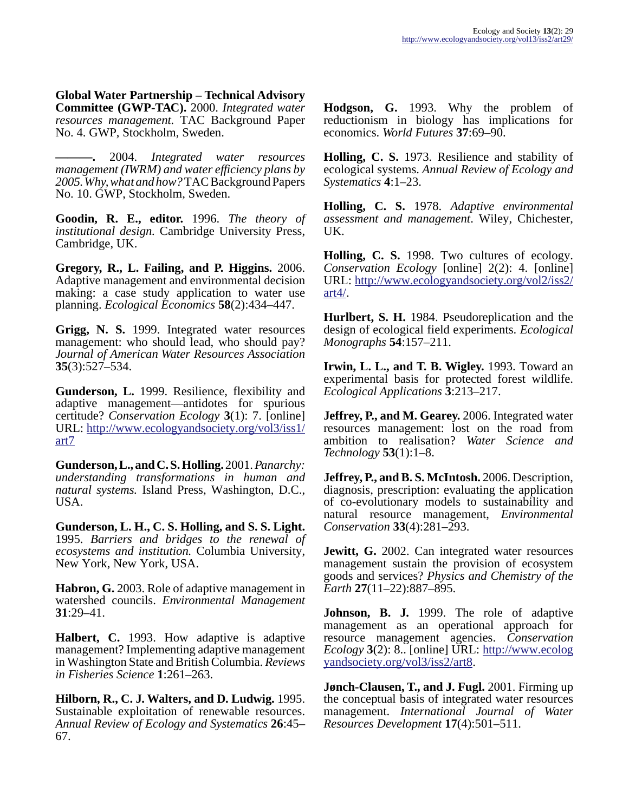**Global Water Partnership – Technical Advisory Committee (GWP-TAC).** 2000. *Integrated water resources management.* TAC Background Paper No. 4. GWP, Stockholm, Sweden.

**———.** 2004. *Integrated water resources management (IWRM) and water efficiency plans by 2005. Why, what and how?* TAC Background Papers No. 10. GWP, Stockholm, Sweden.

**Goodin, R. E., editor.** 1996. *The theory of institutional design.* Cambridge University Press, Cambridge, UK.

**Gregory, R., L. Failing, and P. Higgins.** 2006. Adaptive management and environmental decision making: a case study application to water use planning. *Ecological Economics* **58**(2):434–447.

**Grigg, N. S.** 1999. Integrated water resources management: who should lead, who should pay? *Journal of American Water Resources Association* **35**(3):527–534.

**Gunderson, L.** 1999. Resilience, flexibility and adaptive management—antidotes for spurious certitude? *Conservation Ecology* **3**(1): 7. [online] URL: [http://www.ecologyandsociety.org/vol3/iss1/](http://www.ecologyandsociety.org/vol3/iss1/art7) [art7](http://www.ecologyandsociety.org/vol3/iss1/art7)

**Gunderson, L., and C. S. Holling.** 2001. *Panarchy: understanding transformations in human and natural systems.* Island Press, Washington, D.C., USA.

**Gunderson, L. H., C. S. Holling, and S. S. Light.** 1995. *Barriers and bridges to the renewal of ecosystems and institution.* Columbia University, New York, New York, USA.

**Habron, G.** 2003. Role of adaptive management in watershed councils. *Environmental Management* **31**:29–41.

**Halbert, C.** 1993. How adaptive is adaptive management? Implementing adaptive management in Washington State and British Columbia. *Reviews in Fisheries Science* **1**:261–263.

**Hilborn, R., C. J. Walters, and D. Ludwig.** 1995. Sustainable exploitation of renewable resources. *Annual Review of Ecology and Systematics* **26**:45– 67.

**Hodgson, G.** 1993. Why the problem of reductionism in biology has implications for economics. *World Futures* **37**:69–90.

**Holling, C. S.** 1973. Resilience and stability of ecological systems. *Annual Review of Ecology and Systematics* **4**:1–23.

**Holling, C. S.** 1978. *Adaptive environmental assessment and management*. Wiley, Chichester, UK.

**Holling, C. S.** 1998. Two cultures of ecology. *Conservation Ecology* [online] 2(2): 4. [online] URL: [http://www.ecologyandsociety.org/vol2/iss2/](http://www.ecologyandsociety.org/vol2/iss2/art4/) [art4/.](http://www.ecologyandsociety.org/vol2/iss2/art4/)

**Hurlbert, S. H.** 1984. Pseudoreplication and the design of ecological field experiments. *Ecological Monographs* **54**:157–211.

**Irwin, L. L., and T. B. Wigley.** 1993. Toward an experimental basis for protected forest wildlife. *Ecological Applications* **3**:213–217.

**Jeffrey, P., and M. Gearey.** 2006. Integrated water resources management: lost on the road from ambition to realisation? *Water Science and Technology* **53**(1):1–8.

**Jeffrey, P., and B. S. McIntosh.** 2006. Description, diagnosis, prescription: evaluating the application of co-evolutionary models to sustainability and natural resource management, *Environmental Conservation* **33**(4):281–293.

**Jewitt, G.** 2002. Can integrated water resources management sustain the provision of ecosystem goods and services? *Physics and Chemistry of the Earth* **27**(11–22):887–895.

**Johnson, B. J.** 1999. The role of adaptive management as an operational approach for resource management agencies. *Conservation Ecology* **3**(2): 8.. [online] URL: [http://www.ecolog](http://www.ecologyandsociety.org/vol3/iss2/art8) [yandsociety.org/vol3/iss2/art8.](http://www.ecologyandsociety.org/vol3/iss2/art8)

**Jønch-Clausen, T., and J. Fugl.** 2001. Firming up the conceptual basis of integrated water resources management. *International Journal of Water Resources Development* **17**(4):501–511.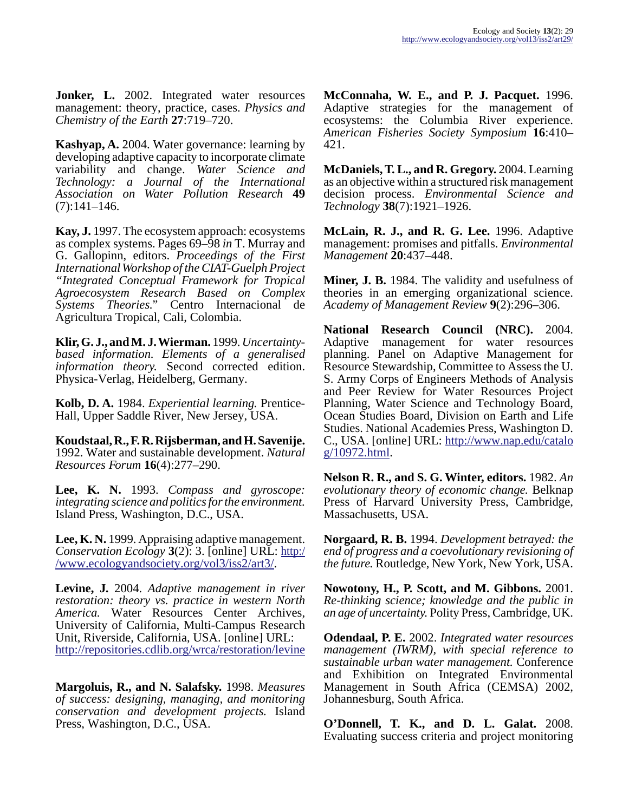**Jonker, L.** 2002. Integrated water resources management: theory, practice, cases. *Physics and Chemistry of the Earth* **27**:719–720.

**Kashyap, A.** 2004. Water governance: learning by developing adaptive capacity to incorporate climate variability and change. *Water Science and Technology: a Journal of the International Association on Water Pollution Research* **49**  $(7):141-146.$ 

**Kay, J.** 1997. The ecosystem approach: ecosystems as complex systems. Pages 69–98 *in* T. Murray and G. Gallopinn, editors. *Proceedings of the First International Workshop of the CIAT-Guelph Project "Integrated Conceptual Framework for Tropical Agroecosystem Research Based on Complex Systems Theories."* Centro Internacional de Agricultura Tropical, Cali, Colombia.

**Klir, G. J., and M. J. Wierman.** 1999. *Uncertaintybased information. Elements of a generalised information theory.* Second corrected edition. Physica-Verlag, Heidelberg, Germany.

**Kolb, D. A.** 1984. *Experiential learning.* Prentice-Hall, Upper Saddle River, New Jersey, USA.

**Koudstaal, R., F. R. Rijsberman, and H. Savenije.** 1992. Water and sustainable development. *Natural Resources Forum* **16**(4):277–290.

**Lee, K. N.** 1993. *Compass and gyroscope: integrating science and politics for the environment.* Island Press, Washington, D.C., USA.

**Lee, K. N.** 1999. Appraising adaptive management. *Conservation Ecology* **3**(2): 3. [online] URL: [http:/](http://www.ecologyandsociety.org/vol3/iss2/art3/) [/www.ecologyandsociety.org/vol3/iss2/art3/.](http://www.ecologyandsociety.org/vol3/iss2/art3/)

**Levine, J.** 2004. *Adaptive management in river restoration: theory vs. practice in western North America.* Water Resources Center Archives, University of California, Multi-Campus Research Unit, Riverside, California, USA. [online] URL: <http://repositories.cdlib.org/wrca/restoration/levine>

**Margoluis, R., and N. Salafsky.** 1998. *Measures of success: designing, managing, and monitoring conservation and development projects.* Island Press, Washington, D.C., USA.

**McConnaha, W. E., and P. J. Pacquet.** 1996. Adaptive strategies for the management of ecosystems: the Columbia River experience. *American Fisheries Society Symposium* **16**:410– 421.

**McDaniels, T. L., and R. Gregory.** 2004. Learning as an objective within a structured risk management decision process. *Environmental Science and Technology* **38**(7):1921–1926.

**McLain, R. J., and R. G. Lee.** 1996. Adaptive management: promises and pitfalls. *Environmental Management* **20**:437–448.

**Miner, J. B.** 1984. The validity and usefulness of theories in an emerging organizational science. *Academy of Management Review* **9**(2):296–306.

**National Research Council (NRC).** 2004. Adaptive management for water resources planning. Panel on Adaptive Management for Resource Stewardship, Committee to Assess the U. S. Army Corps of Engineers Methods of Analysis and Peer Review for Water Resources Project Planning, Water Science and Technology Board, Ocean Studies Board, Division on Earth and Life Studies. National Academies Press, Washington D. C., USA. [online] URL: [http://www.nap.edu/catalo](http://www.nap.edu/catalog/10972.html) [g/10972.html](http://www.nap.edu/catalog/10972.html).

**Nelson R. R., and S. G. Winter, editors.** 1982. *An evolutionary theory of economic change.* Belknap Press of Harvard University Press, Cambridge, Massachusetts, USA.

**Norgaard, R. B.** 1994. *Development betrayed: the end of progress and a coevolutionary revisioning of the future.* Routledge, New York, New York, USA.

**Nowotony, H., P. Scott, and M. Gibbons.** 2001. *Re-thinking science; knowledge and the public in an age of uncertainty.* Polity Press, Cambridge, UK.

**Odendaal, P. E.** 2002. *Integrated water resources management (IWRM), with special reference to sustainable urban water management.* Conference and Exhibition on Integrated Environmental Management in South Africa (CEMSA) 2002, Johannesburg, South Africa.

**O'Donnell, T. K., and D. L. Galat.** 2008. Evaluating success criteria and project monitoring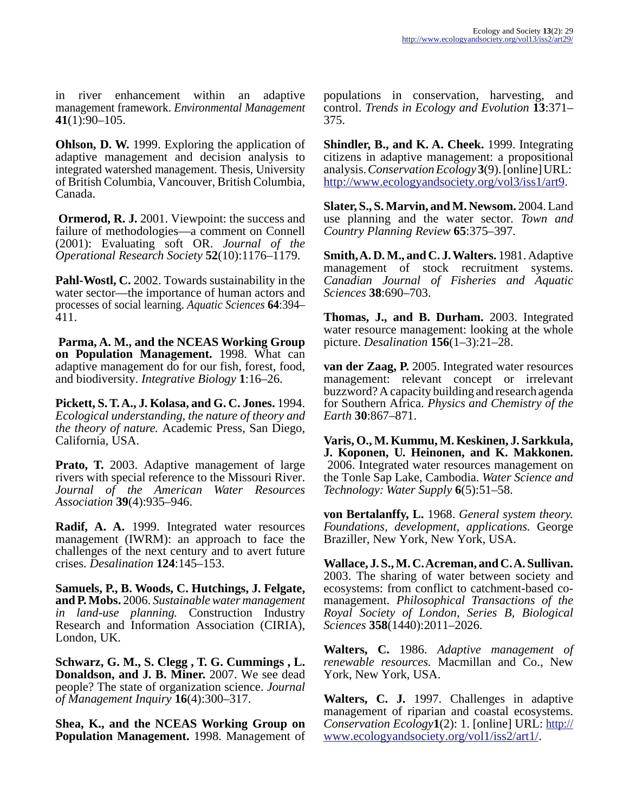in river enhancement within an adaptive management framework. *Environmental Management* **41**(1):90–105.

**Ohlson, D. W.** 1999. Exploring the application of adaptive management and decision analysis to integrated watershed management. Thesis, University of British Columbia, Vancouver, British Columbia, Canada.

**Ormerod, R. J.** 2001. Viewpoint: the success and failure of methodologies—a comment on Connell (2001): Evaluating soft OR. *Journal of the Operational Research Society* **52**(10):1176–1179.

**Pahl-Wostl, C.** 2002. Towards sustainability in the water sector—the importance of human actors and processes of social learning. *Aquatic Sciences* **64**:394– 411.

 **Parma, A. M., and the NCEAS Working Group on Population Management.** 1998. What can adaptive management do for our fish, forest, food, and biodiversity. *Integrative Biology* **1**:16–26.

**Pickett, S. T. A., J. Kolasa, and G. C. Jones.** 1994. *Ecological understanding, the nature of theory and the theory of nature.* Academic Press, San Diego, California, USA.

**Prato, T.** 2003. Adaptive management of large rivers with special reference to the Missouri River. *Journal of the American Water Resources Association* **39**(4):935–946.

**Radif, A. A.** 1999. Integrated water resources management (IWRM): an approach to face the challenges of the next century and to avert future crises. *Desalination* **124**:145–153.

**Samuels, P., B. Woods, C. Hutchings, J. Felgate, and P. Mobs.** 2006. *Sustainable water management in land-use planning.* Construction Industry Research and Information Association (CIRIA), London, UK.

**Schwarz, G. M., S. Clegg , T. G. Cummings , L. Donaldson, and J. B. Miner.** 2007. We see dead people? The state of organization science. *Journal of Management Inquiry* **16**(4):300–317.

**Shea, K., and the NCEAS Working Group on Population Management.** 1998. Management of populations in conservation, harvesting, and control. *Trends in Ecology and Evolution* **13**:371– 375.

**Shindler, B., and K. A. Cheek.** 1999. Integrating citizens in adaptive management: a propositional analysis. *Conservation Ecology* **3**(9). [online] URL: [http://www.ecologyandsociety.org/vol3/iss1/art9.](http://www.ecologyandsociety.org/vol3/iss1/art9)

**Slater, S., S. Marvin, and M. Newsom.** 2004. Land use planning and the water sector. *Town and Country Planning Review* **65**:375–397.

**Smith, A. D. M., and C. J. Walters.** 1981. Adaptive management of stock recruitment systems. *Canadian Journal of Fisheries and Aquatic Sciences* **38**:690–703.

**Thomas, J., and B. Durham.** 2003. Integrated water resource management: looking at the whole picture. *Desalination* **156**(1–3):21–28.

**van der Zaag, P.** 2005. Integrated water resources management: relevant concept or irrelevant buzzword? A capacity building and research agenda for Southern Africa. *Physics and Chemistry of the Earth* **30**:867–871.

**Varis, O., M. Kummu, M. Keskinen, J. Sarkkula, J. Koponen, U. Heinonen, and K. Makkonen.** 2006. Integrated water resources management on the Tonle Sap Lake, Cambodia. *Water Science and Technology: Water Supply* **6**(5):51–58.

**von Bertalanffy, L.** 1968. *General system theory. Foundations, development, applications.* George Braziller, New York, New York, USA.

**Wallace, J. S., M. C. Acreman, and C. A. Sullivan.** 2003. The sharing of water between society and ecosystems: from conflict to catchment-based comanagement. *Philosophical Transactions of the Royal Society of London, Series B, Biological Sciences* **358**(1440):2011–2026.

**Walters, C.** 1986. *Adaptive management of renewable resources.* Macmillan and Co., New York, New York, USA.

**Walters, C. J.** 1997. Challenges in adaptive management of riparian and coastal ecosystems. *Conservation Ecology***1**(2): 1. [online] URL: [http://](http://www.ecologyandsociety.org/vol1/iss2/art1/) [www.ecologyandsociety.org/vol1/iss2/art1/](http://www.ecologyandsociety.org/vol1/iss2/art1/).